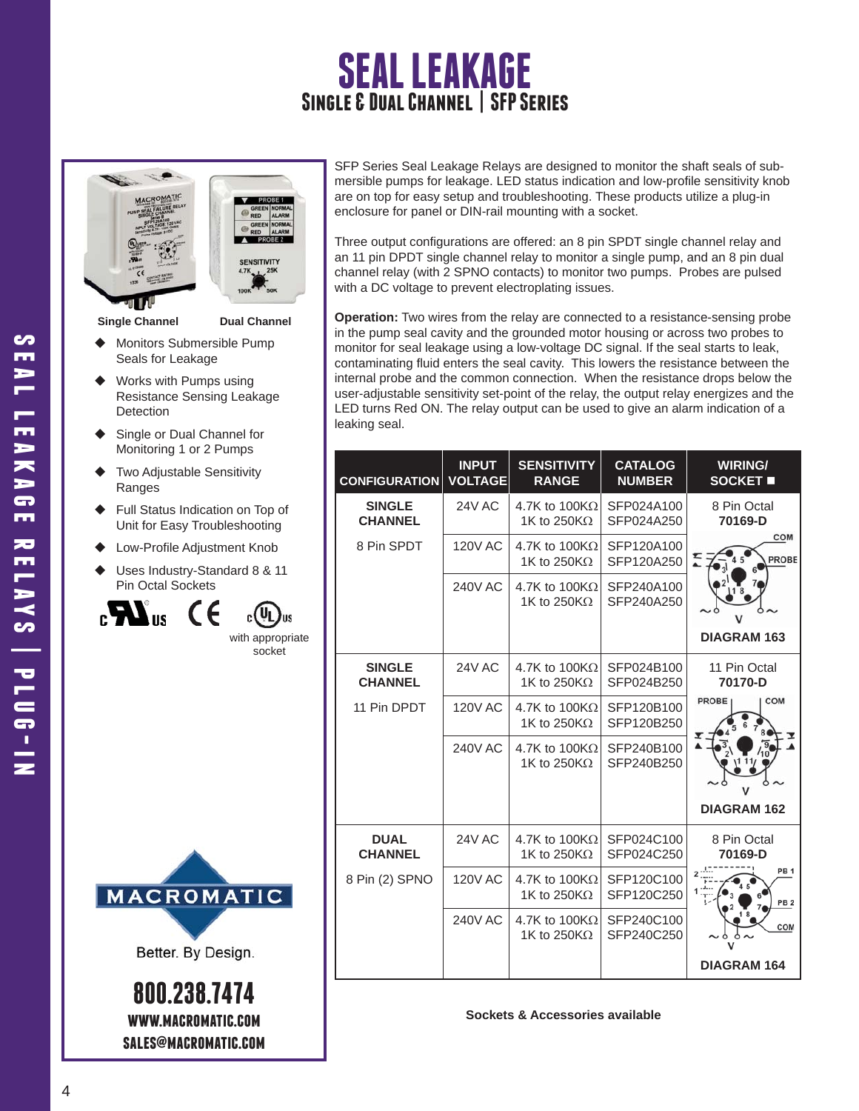# **SEAL LEAKAGE Single & Dual Channel | SFP Series**



**Single Channel Dual Channel**

- Monitors Submersible Pump Seals for Leakage
- Works with Pumps using Resistance Sensing Leakage **Detection**
- Single or Dual Channel for Monitoring 1 or 2 Pumps
- Two Adjustable Sensitivity Ranges
- Full Status Indication on Top of Unit for Easy Troubleshooting
- Low-Profile Adjustment Knob
- Uses Industry-Standard 8 & 11 Pin Octal Sockets

 $_{\rm c}$   $\boldsymbol{M}_{\rm u}$ 



socket



Better. By Design.

**800.238.7474 www.macromatic.com sales@macromatic.com** SFP Series Seal Leakage Relays are designed to monitor the shaft seals of submersible pumps for leakage. LED status indication and low-profile sensitivity knob are on top for easy setup and troubleshooting. These products utilize a plug-in enclosure for panel or DIN-rail mounting with a socket.

Three output configurations are offered: an 8 pin SPDT single channel relay and an 11 pin DPDT single channel relay to monitor a single pump, and an 8 pin dual channel relay (with 2 SPNO contacts) to monitor two pumps. Probes are pulsed with a DC voltage to prevent electroplating issues.

**Operation:** Two wires from the relay are connected to a resistance-sensing probe in the pump seal cavity and the grounded motor housing or across two probes to monitor for seal leakage using a low-voltage DC signal. If the seal starts to leak, contaminating fluid enters the seal cavity. This lowers the resistance between the internal probe and the common connection. When the resistance drops below the user-adjustable sensitivity set-point of the relay, the output relay energizes and the LED turns Red ON. The relay output can be used to give an alarm indication of a leaking seal.

| <b>CONFIGURATION</b>            | <b>INPUT</b><br><b>VOLTAGE</b> | <b>SENSITIVITY</b><br><b>RANGE</b>           | <b>CATALOG</b><br><b>NUMBER</b> | <b>WIRING/</b><br>SOCKET <b>II</b>             |
|---------------------------------|--------------------------------|----------------------------------------------|---------------------------------|------------------------------------------------|
| <b>SINGLE</b><br><b>CHANNEL</b> | <b>24V AC</b>                  | 4.7K to $100K\Omega$<br>1K to 250K $\Omega$  | SFP024A100<br>SFP024A250        | 8 Pin Octal<br>70169-D                         |
| 8 Pin SPDT                      | <b>120V AC</b>                 | 4.7K to 100K $\Omega$<br>1K to 250K $\Omega$ | SFP120A100<br>SFP120A250        | COM<br>PROBE                                   |
|                                 | <b>240V AC</b>                 | 4.7K to 100K $\Omega$<br>1K to 250K $\Omega$ | SFP240A100<br>SFP240A250        |                                                |
|                                 |                                |                                              |                                 | <b>DIAGRAM 163</b>                             |
| <b>SINGLE</b><br><b>CHANNEL</b> | <b>24V AC</b>                  | 4.7K to $100K\Omega$<br>1K to 250K $\Omega$  | SFP024B100<br>SFP024B250        | 11 Pin Octal<br>70170-D<br>COM<br><b>PROBE</b> |
| 11 Pin DPDT                     | <b>120V AC</b>                 | 4.7K to $100K\Omega$<br>1K to 250K $\Omega$  | SFP120B100<br>SFP120B250        |                                                |
|                                 | <b>240V AC</b>                 | 4.7K to 100K $\Omega$<br>1K to 250K $\Omega$ | SFP240B100<br>SFP240B250        |                                                |
|                                 |                                |                                              |                                 | <b>DIAGRAM 162</b>                             |
| <b>DUAL</b><br><b>CHANNEL</b>   | <b>24V AC</b>                  | 4.7K to $100K\Omega$<br>1K to 250K $\Omega$  | SFP024C100<br>SFP024C250        | 8 Pin Octal<br>70169-D                         |
| 8 Pin (2) SPNO                  | <b>120V AC</b>                 | 4.7K to $100K\Omega$<br>1K to 250K $\Omega$  | SFP120C100<br>SFP120C250        | PB <sub>1</sub><br>PB <sub>2</sub>             |
|                                 | <b>240V AC</b>                 | 4.7K to $100K\Omega$<br>1K to 250K $\Omega$  | SFP240C100<br>SFP240C250        | COM                                            |
|                                 |                                |                                              |                                 | <b>DIAGRAM 164</b>                             |

**Sockets & Accessories available**

S m